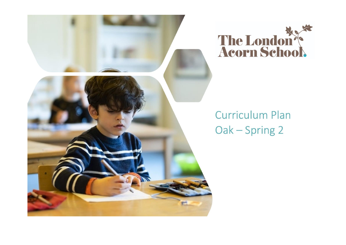



# **Curriculum Plan** Oak - Spring 2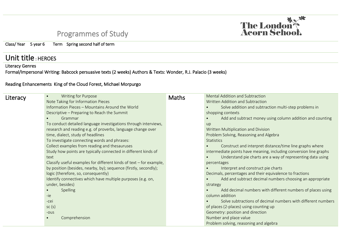## Programmes of Study



### Unit title: HEROES

#### Literacy Genres

Formal/Impersonal Writing: Babcock persuasive texts (2 weeks) Authors & Texts: Wonder, R.J. Palacio (3 weeks)

#### Reading Enhancements King of the Cloud Forest, Michael Morpurgo

| Literacy | <b>Writing for Purpose</b>                                            | <b>Maths</b> | Mental Addition and Subtraction                                    |
|----------|-----------------------------------------------------------------------|--------------|--------------------------------------------------------------------|
|          | Note Taking for Information Pieces                                    |              | Written Addition and Subtraction                                   |
|          | Information Pieces - Mountains Around the World                       |              | Solve addition and subtraction multi-step problems in              |
|          | Descriptive - Preparing to Reach the Summit                           |              | shopping contexts                                                  |
|          | Grammar                                                               |              | Add and subtract money using column addition and counting          |
|          | To conduct detailed language investigations through interviews,       |              | <b>up</b>                                                          |
|          | research and reading e.g. of proverbs, language change over           |              | Written Multiplication and Division                                |
|          | time, dialect, study of headlines                                     |              | Problem Solving, Reasoning and Algebra                             |
|          | To investigate connecting words and phrases:                          |              | <b>Statistics</b>                                                  |
|          | Collect examples from reading and thesauruses                         |              | Construct and interpret distance/time line graphs where            |
|          | Study how points are typically connected in different kinds of        |              | intermediate points have meaning, including conversion line graphs |
|          | text                                                                  |              | Understand pie charts are a way of representing data using         |
|          | Classify useful examples for different kinds of text $-$ for example, |              | percentages                                                        |
|          | by position (besides, nearby, by); sequence (firstly, secondly);      |              | Interpret and construct pie charts                                 |
|          | logic (therefore, so, consequently)                                   |              | Decimals, percentages and their equivalence to fractions           |
|          | Identify connectives which have multiple purposes (e.g. on,           |              | Add and subtract decimal numbers choosing an appropriate           |
|          | under, besides)                                                       |              | strategy                                                           |
|          | <b>Spelling</b>                                                       |              | Add decimal numbers with different numbers of places using         |
|          | -ie                                                                   |              | column addition                                                    |
|          | -cei                                                                  |              | Solve subtractions of decimal numbers with different numbers       |
|          | sc(s)                                                                 |              | of places (2-places) using counting up                             |
|          | $-O$                                                                  |              | Geometry: position and direction                                   |
|          | Comprehension                                                         |              | Number and place value                                             |
|          |                                                                       |              | Problem solving, reasoning and algebra                             |

**The London<sup>35</sup>**<br>**Acorn Schoo**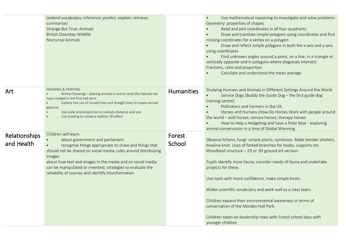|                             | (extend vocabulary; inference; predict; explain; retrieve;<br>summarise)<br><b>Strange But True: Animals</b><br><b>British Doorstep Wildlife</b><br><b>Nocturnal Animals</b>                                                                                                                                                                                                                 |                   | Use mathematical reasoning to investigate and solve problems<br>$\bullet$<br>Geometry: properties of shapes<br>Read and plot coordinates in all four quadrants<br>$\bullet$<br>Draw and translate simple polygons using coordinates and find<br>$\bullet$<br>missing coordinates for a vertex on a polygon<br>Draw and reflect simple polygons in both the x-axis and y-axis<br>using coordinates<br>Find unknown angles around a point, on a line, in a triangle or<br>vertically opposite and in polygons where diagonals intersect<br>Fractions, ratio and proportion<br>Calculate and understand the mean average |
|-----------------------------|----------------------------------------------------------------------------------------------------------------------------------------------------------------------------------------------------------------------------------------------------------------------------------------------------------------------------------------------------------------------------------------------|-------------------|-----------------------------------------------------------------------------------------------------------------------------------------------------------------------------------------------------------------------------------------------------------------------------------------------------------------------------------------------------------------------------------------------------------------------------------------------------------------------------------------------------------------------------------------------------------------------------------------------------------------------|
| Art                         | <b>DRAWING &amp; PAINTING</b><br>Animal Drawings - placing animals in action onto the habitats we<br>$\bullet$<br>have created in the first half term<br>Explore the use of curved lines and straight lines to create animal<br>gestures<br>Use scale and proportion to indicate distance and size<br>Use shading to create a realistic 3D effect                                            | <b>Humanities</b> | Studying Humans and Animals in Different Settings Around the World<br>Service Dogs (Buddy the Guide Dog - the first guide dog<br>training centre)<br>Pollinators and Farmers in the UK<br>Horses and Humans (How Do Horses Work with people around<br>the world - wild horses; service horses; therapy horses<br>How to Help a Hedgehog and Save a Polar Bear - exploring<br>animal conservation in a time of Global Warming                                                                                                                                                                                          |
| Relationships<br>and Health | Children will learn:<br>about government and parliament<br>recognise things appropriate to share and things that<br>$\bullet$<br>should not be shared on social media; rules around distributing<br>images<br>about how text and images in the media and on social media<br>can be manipulated or invented; strategies to evaluate the<br>reliability of sources and identify misinformation | Forest<br>School  | Observe lichens, fungi -simple plants, symbiosis. Make bender shelters,<br>bowline knot. Uses of forked branches for hooks, supports etc.<br>Woodland structure - 2D or 3D ground art version.<br>Pupils identify more fauna, consider needs of fauna and undertake<br>projects for these.<br>Use tools with more confidence, make simple knots.<br>Widen scientific vocabulary and work well as a class team.<br>Children expand their environmental awareness in terms of<br>conservation of the Morden Hall Park.<br>Children taken on leadership roles with Forest school days with<br>younger children           |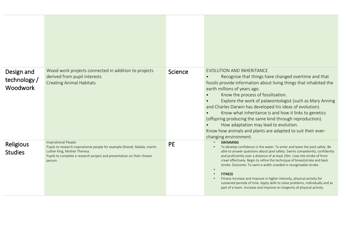| Design and<br>technology /<br><b>Woodwork</b> | Wood work projects connected in addition to projects<br>derived from pupil interests<br><b>Creating Animal Habitats</b>                                                                                                 | Science   | EVOLUTION AND INHERITANCE<br>Recognise that things have changed overtime and that<br>fossils provide information about living things that inhabited the<br>earth millions of years ago.<br>Know the process of fossilisation.<br>Explore the work of palaeontologist (such as Mary Anning<br>and Charles Darwin has developed his ideas of evolution).<br>Know what inheritance is and how it links to genetics<br>(offspring producing the same kind through reproduction).<br>How adaptation may lead to evolution.<br>Know how animals and plants are adapted to suit their ever-<br>changing environment.                                                        |
|-----------------------------------------------|-------------------------------------------------------------------------------------------------------------------------------------------------------------------------------------------------------------------------|-----------|----------------------------------------------------------------------------------------------------------------------------------------------------------------------------------------------------------------------------------------------------------------------------------------------------------------------------------------------------------------------------------------------------------------------------------------------------------------------------------------------------------------------------------------------------------------------------------------------------------------------------------------------------------------------|
| Religious<br><b>Studies</b>                   | Inspirational People<br>Pupils to research inspirational people for example Ghandi, Malala, martin<br>Luther King, Mother Theresa.<br>Pupils to complete a research project and presentation on their chosen<br>person. | <b>PE</b> | <b>SWIMMING</b><br>To develop confidence in the water. To enter and leave the pool safely. Be<br>able to answer questions about pool safety. Swims competently, confidently<br>and proficiently over a distance of at least 20m. Uses the stroke of front<br>crawl effectively. Begin to refine the technique of breaststroke and back<br>stroke. Outcome: To swim a width unaided in recognisable stroke.<br><b>FITNESS</b><br>Fitness Increase and improve in higher intensity, physical activity for<br>sustained periods of time. Apply skills to solve problems, individually and as<br>part of a team. Increase and improve on longevity of physical activity. |